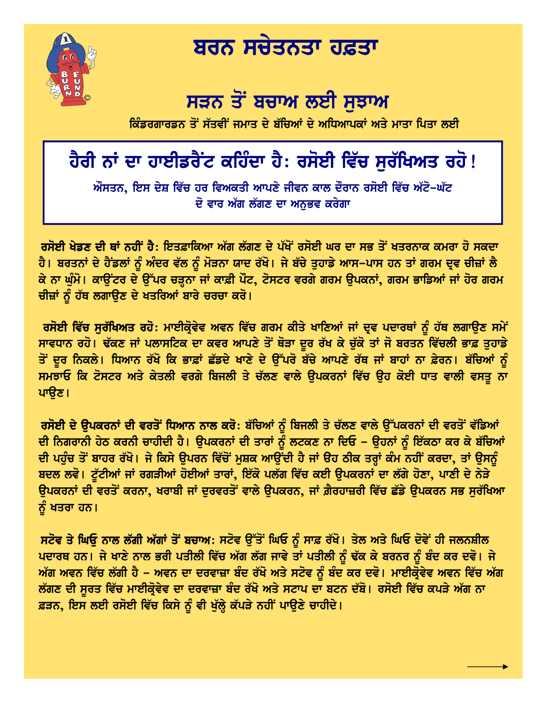

## ਬਰਨ ਸਚੇਤਨਤਾ ਹਫ਼ਤਾ

## ਸੜਨ ਤੋਂ ਬਚਾਅ ਲਈ ਸਝਾਅ

ਕਿੰਡਰਗਾਰਡਨ ਤੋਂ ਸੱਤਵੀਂ ਜਮਾਤ ਦੇ ਬੱਚਿਆਂ ਦੇ ਅਧਿਆਪਕਾਂ ਅਤੇ ਮਾਤਾ ਪਿਤਾ ਲਈ

## ਹੈਰੀ ਨਾਂ ਦਾ ਹਾਈਡਰੈਂਟ ਕਹਿੰਦਾ ਹੈ: ਰਸੋਈ ਵਿੱਚ ਸੁਰੱਖਿਅਤ ਰਹੋ!

ਔਸਤਨ, ਇਸ ਦੇਸ਼ ਵਿੱਚ ਹਰ ਵਿਅਕਤੀ ਆਪਣੇ ਜੀਵਨ ਕਾਲ ਦੌਰਾਨ ਰਸੋਈ ਵਿੱਚ ਅੱਟੋ–ਘੱਟ ਦੋ ਵਾਰ ਅੱਗ ਲੱਗਣ ਦਾ ਅਨਭਵ ਕਰੇਗਾ

<mark>ਰਸੋਈ ਖੇਡਣ ਦੀ ਥਾਂ ਨਹੀਂ ਹੈ:</mark> ਇਤਫ਼ਾਕਿਆ ਅੱਗ ਲੱਗਣ ਦੇ ਪੱਖੋਂ ਰਸੋਈ ਘਰ ਦਾ ਸਭ ਤੋਂ ਖਤਰਨਾਕ ਕਮਰਾ ਹੋ ਸਕਦਾ ਹੈ। ਬਰਤਨਾਂ ਦੇ ਹੈਂਡਲਾਂ ਨੂੰ ਅੰਦਰ ਵੱਲ ਨੂੰ ਮੋੜਨਾ ਯਾਦ ਰੱਖੋ। ਜੇ ਬੱਚੇ ਤੁਹਾਡੇ ਆਸ–ਪਾਸ ਹਨ ਤਾਂ ਗਰਮ ਦ੍ਰਵ ਚੀਜ਼ਾਂ ਲੈ ਕੇ ਨਾ ਘੰਮੋ। ਕਾੳਂਟਰ ਦੇ ੳੱਪਰ ਚੜ੍ਹਨਾ ਜਾਂ ਕਾਫ਼ੀ ਪੌਟ, ਟੋਸਟਰ ਵਰਗੇ ਗਰਮ ੳਪਕਨਾਂ, ਗਰਮ ਭਾਡਿਆਂ ਜਾਂ ਹੋਰ ਗਰਮ ਚੀਜ਼ਾਂ ਨੂੰ ਹੱਥ ਲਗਾਉਣ ਦੇ ਖਤਰਿਆਂ ਬਾਰੇ ਚਰਚਾ ਕਰੋ।

ਰਸੋਈ ਵਿੱਚ ਸੁਰੱਖਿਅਤ ਰਹੋ: ਮਾਈਕ੍ਰੋਵੇਵ ਅਵਨ ਵਿੱਚ ਗਰਮ ਕੀਤੇ ਖਾਣਿਆਂ ਜਾਂ ਦ੍ਰਵ ਪਦਾਰਥਾਂ ਨੂੰ ਹੱਥ ਲਗਾਉਣ ਸਮੇਂ ਸਾਵਧਾਨ ਰਹੋ। ਢੱਕਣ ਜਾਂ ਪਲਾਸਟਿਕ ਦਾ ਕਵਰ ਆਪਣੇ ਤੋਂ ਥੋੜਾ ਦੂਰ ਰੱਖ ਕੇ ਚੁੱਕੋ ਤਾਂ ਜੋ ਬਰਤਨ ਵਿੱਚਲੀ ਭਾਫ਼ ਤੁਹਾਡੇ ਤੋਂ ਦੂਰ ਨਿਕਲੇ। ਧਿਆਨ ਰੱਖੋ ਕਿ ਭਾਫ਼ਾਂ ਛੱਡਦੇ ਖਾਣੇ ਦੇ ਉੱਪਰੋ ਬੱਚੇ ਆਪਣੇ ਰੱਥ ਜਾਂ ਬਾਹਾਂ ਨਾ ਫ਼ੇਰਨ। ਬੱਚਿਆਂ ਨੂੰ ਸਮਝਾਓ ਕਿ ਟੋਸਟਰ ਅਤੇ ਕੇਤਲੀ ਵਰਗੇ ਬਿਜਲੀ ਤੇ ਚੱਲਣ ਵਾਲੇ ਉਪਕਰਨਾਂ ਵਿੱਚ ਉਹ ਕੋਈ ਧਾਤ ਵਾਲੀ ਵਸਤੂ ਨਾ ਪਾੳਣ।

ਰਸੋਈ ਦੇ ਉਪਕਰਨਾਂ ਦੀ ਵਰਤੋਂ ਧਿਆਨ ਨਾਲ ਕਰੋ: ਬੱਚਿਆਂ ਨੂੰ ਬਿਜਲੀ ਤੇ ਚੱਲਣ ਵਾਲੇ ਉੱਪਕਰਨਾਂ ਦੀ ਵਰਤੋਂ ਵੱਡਿਆਂ ਦੀ ਨਿਗਰਾਨੀ ਹੇਠ ਕਰਨੀ ਚਾਹੀਦੀ ਹੈ। ਉਪਕਰਨਾਂ ਦੀ ਤਾਰਾਂ ਨੂੰ ਲਟਕਣ ਨਾ ਦਿਓ – ਉਹਨਾਂ ਨੂੰ ਇੱਕਠਾ ਕਰ ਕੇ ਬੱਚਿਆਂ ਦੀ ਪਹੁੰਚ ਤੋਂ ਬਾਹਰ ਰੱਖੋ। ਜੇ ਕਿਸੇ ਉਪਰਨ ਵਿੱਚੋਂ ਮਸ਼ਕ ਆਉਂਦੀ ਹੈ ਜਾਂ ਉਹ ਠੀਕ ਤਰ੍ਹਾਂ ਕੰਮ ਨਹੀਂ ਕਰਦਾ, ਤਾਂ ਉਸ<u>ਨੂੰ</u> ਬਦਲ ਲਵੋ। ਟੁੱਟੀਆਂ ਜਾਂ ਰਗੜੀਆਂ ਹੋਈਆਂ ਤਾਰਾਂ, ਇੱਕੋ ਪਲੱਗ ਵਿੱਚ ਕਈ ਉਪਕਰਨਾਂ ਦਾ ਲੱਗੇ ਹੋਣਾ, ਪਾਣੀ ਦੇ ਨੇੜੇ ਉਪਕਰਨਾਂ ਦੀ ਵਰਤੋਂ ਕਰਨਾ, ਖਰਾਬੀ ਜਾਂ ਦੁਰਵਰਤੋਂ ਵਾਲੇ ਉਪਕਰਨ, ਜਾਂ ਗ਼ੈਰਹਾਜ਼ਰੀ ਵਿੱਚ ਛੱਡੇ ਉਪਕਰਨ ਸਭ ਸੁਰੱਖਿਆ ਨੂੰ ਖਤਰਾ ਹਨ।

ਸਟੋਵ ਤੇ ਘਿਓੂ ਨਾਲ ਲੱਗੀ ਅੱਗਾਂ ਤੋਂ ਬਚਾਅ: ਸਟੋਵ ਉੱਤੋਂ ਘਿਓ ਨੂੰ ਸਾਫ਼ ਰੱਖੋ। ਤੇਲ ਅਤੇ ਘਿਓ ਦੋਵੇਂ ਹੀ ਜਲਨਸ਼ੀਲ ਪਦਾਰਥ ਹਨ। ਜੇ ਖਾਣੇ ਨਾਲ ਭਰੀ ਪਤੀਲੀ ਵਿੱਚ ਅੱਗ ਲੱਗ ਜਾਵੇ ਤਾਂ ਪਤੀਲੀ ਨੂੰ ਢੱਕ ਕੇ ਬਰਨਰ ਨੂੰ ਬੰਦ ਕਰ ਦਵੋ। ਜੇ ਅੱਗ ਅਵਨ ਵਿੱਚ ਲੱਗੀ ਹੈ – ਅਵਨ ਦਾ ਦਰਵਾਜ਼ਾ ਬੰਦ ਰੱਖੋ ਅਤੇ ਸਟੋਵ ਨੂੰ ਬੰਦ ਕਰ ਦਵੋ। ਮਾਈਕ੍ਰੌਵੇਵ ਅਵਨ ਵਿੱਚ ਅੱਗ ਲੱਗਣ ਦੀ ਸੂਰਤ ਵਿੱਚ ਮਾਈਕ੍ਰੋਵੇਵ ਦਾ ਦਰਵਾਜ਼ਾ ਬੰਦ ਰੱਖੋ ਅਤੇ ਸਟਾਪ ਦਾ ਬਟਨ ਦੱਬੋ। ਰਸੋਈ ਵਿੱਚ ਕਪੜੇ ਅੱਗ ਨਾ ਫ਼ੜਨ, ਇਸ ਲਈ ਰਸੋਈ ਵਿੱਚ ਕਿਸੇ ਨੂੰ ਵੀ ਖੁੱਲ੍ਹੇ ਕੱਪੜੇ ਨਹੀਂ ਪਾਉਣੇ ਚਾਹੀਦੇ।